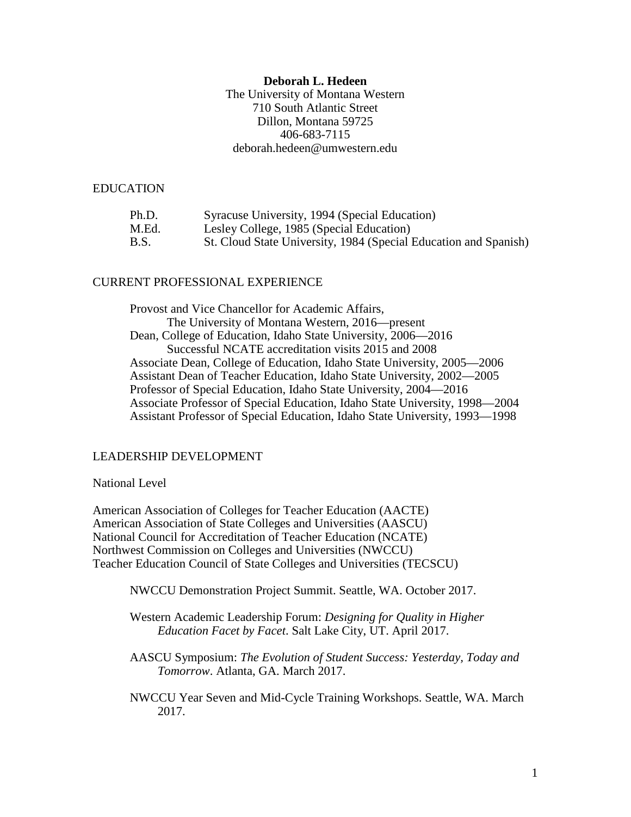# **Deborah L. Hedeen**

The University of Montana Western 710 South Atlantic Street Dillon, Montana 59725 406-683-7115 deborah.hedeen@umwestern.edu

### EDUCATION

| Ph.D. | Syracuse University, 1994 (Special Education)                    |
|-------|------------------------------------------------------------------|
| M.Ed. | Lesley College, 1985 (Special Education)                         |
| B.S.  | St. Cloud State University, 1984 (Special Education and Spanish) |

#### CURRENT PROFESSIONAL EXPERIENCE

Provost and Vice Chancellor for Academic Affairs, The University of Montana Western, 2016—present Dean, College of Education, Idaho State University, 2006—2016 Successful NCATE accreditation visits 2015 and 2008 Associate Dean, College of Education, Idaho State University, 2005—2006 Assistant Dean of Teacher Education, Idaho State University, 2002—2005 Professor of Special Education, Idaho State University, 2004—2016 Associate Professor of Special Education, Idaho State University, 1998—2004 Assistant Professor of Special Education, Idaho State University, 1993—1998

# LEADERSHIP DEVELOPMENT

#### National Level

American Association of Colleges for Teacher Education (AACTE) American Association of State Colleges and Universities (AASCU) National Council for Accreditation of Teacher Education (NCATE) Northwest Commission on Colleges and Universities (NWCCU) Teacher Education Council of State Colleges and Universities (TECSCU)

NWCCU Demonstration Project Summit. Seattle, WA. October 2017.

Western Academic Leadership Forum: *Designing for Quality in Higher Education Facet by Facet*. Salt Lake City, UT. April 2017.

AASCU Symposium: *The Evolution of Student Success: Yesterday, Today and Tomorrow*. Atlanta, GA. March 2017.

NWCCU Year Seven and Mid-Cycle Training Workshops. Seattle, WA. March 2017.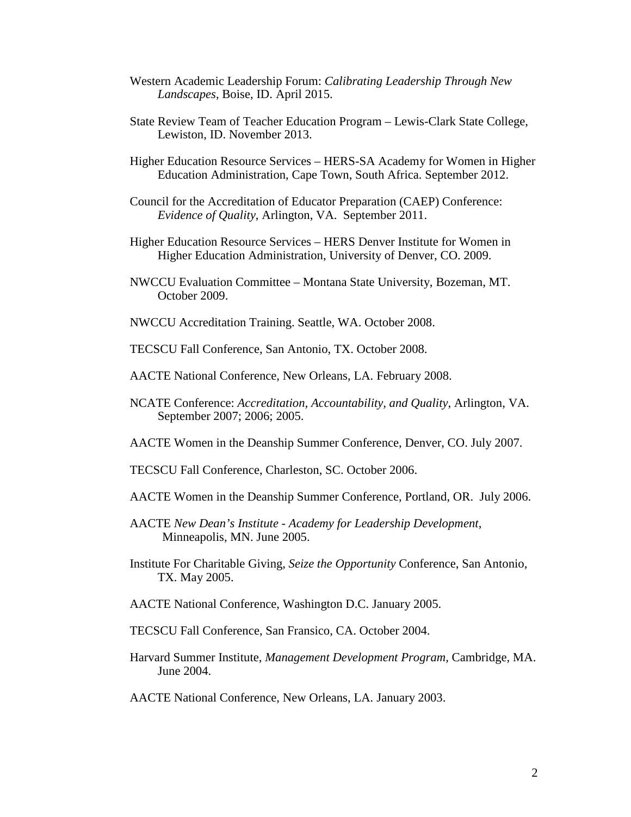- Western Academic Leadership Forum: *Calibrating Leadership Through New Landscapes*, Boise, ID. April 2015.
- State Review Team of Teacher Education Program Lewis-Clark State College, Lewiston, ID. November 2013.
- Higher Education Resource Services HERS-SA Academy for Women in Higher Education Administration, Cape Town, South Africa. September 2012.
- Council for the Accreditation of Educator Preparation (CAEP) Conference: *Evidence of Quality*, Arlington, VA. September 2011.
- Higher Education Resource Services HERS Denver Institute for Women in Higher Education Administration, University of Denver, CO. 2009.
- NWCCU Evaluation Committee Montana State University, Bozeman, MT. October 2009.
- NWCCU Accreditation Training. Seattle, WA. October 2008.
- TECSCU Fall Conference, San Antonio, TX. October 2008.
- AACTE National Conference, New Orleans, LA. February 2008.
- NCATE Conference: *Accreditation, Accountability, and Quality*, Arlington, VA. September 2007; 2006; 2005.
- AACTE Women in the Deanship Summer Conference, Denver, CO. July 2007.
- TECSCU Fall Conference, Charleston, SC. October 2006.
- AACTE Women in the Deanship Summer Conference, Portland, OR. July 2006.
- AACTE *New Dean's Institute - Academy for Leadership Development*, Minneapolis, MN. June 2005.
- Institute For Charitable Giving, *Seize the Opportunity* Conference, San Antonio, TX. May 2005.
- AACTE National Conference, Washington D.C. January 2005.
- TECSCU Fall Conference, San Fransico, CA. October 2004.
- Harvard Summer Institute, *Management Development Program*, Cambridge, MA. June 2004.
- AACTE National Conference, New Orleans, LA. January 2003.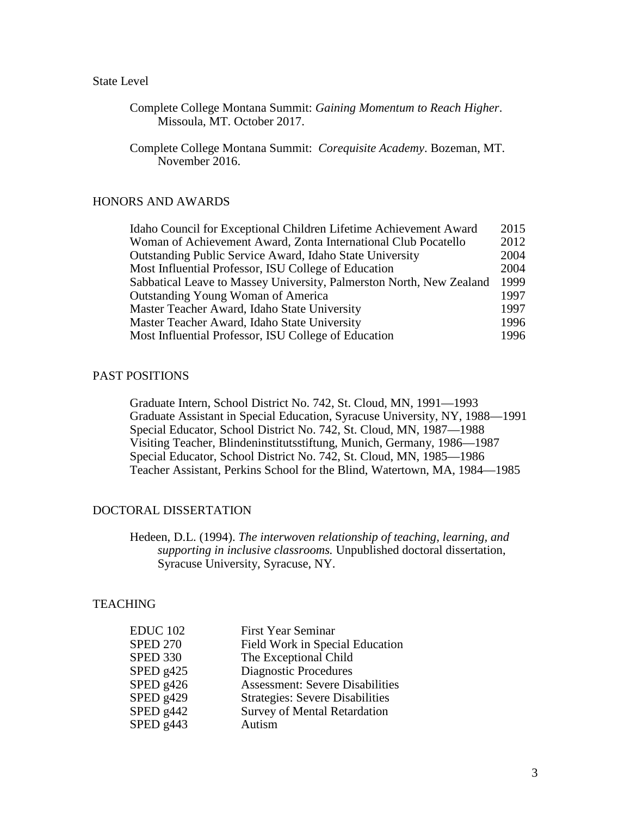# State Level

Complete College Montana Summit: *Gaining Momentum to Reach Higher*. Missoula, MT. October 2017.

Complete College Montana Summit: *Corequisite Academy*. Bozeman, MT. November 2016.

# HONORS AND AWARDS

| 2015 |
|------|
| 2012 |
| 2004 |
| 2004 |
| 1999 |
| 1997 |
| 1997 |
| 1996 |
| 1996 |
|      |

# PAST POSITIONS

Graduate Intern, School District No. 742, St. Cloud, MN, 1991—1993 Graduate Assistant in Special Education, Syracuse University, NY, 1988—1991 Special Educator, School District No. 742, St. Cloud, MN, 1987—1988 Visiting Teacher, Blindeninstitutsstiftung, Munich, Germany, 1986—1987 Special Educator, School District No. 742, St. Cloud, MN, 1985—1986 Teacher Assistant, Perkins School for the Blind, Watertown, MA, 1984—1985

# DOCTORAL DISSERTATION

Hedeen, D.L. (1994). *The interwoven relationship of teaching, learning, and supporting in inclusive classrooms.* Unpublished doctoral dissertation, Syracuse University, Syracuse, NY.

# **TEACHING**

| <b>First Year Seminar</b>              |
|----------------------------------------|
| Field Work in Special Education        |
| The Exceptional Child                  |
| <b>Diagnostic Procedures</b>           |
| <b>Assessment: Severe Disabilities</b> |
| <b>Strategies: Severe Disabilities</b> |
| <b>Survey of Mental Retardation</b>    |
| Autism                                 |
|                                        |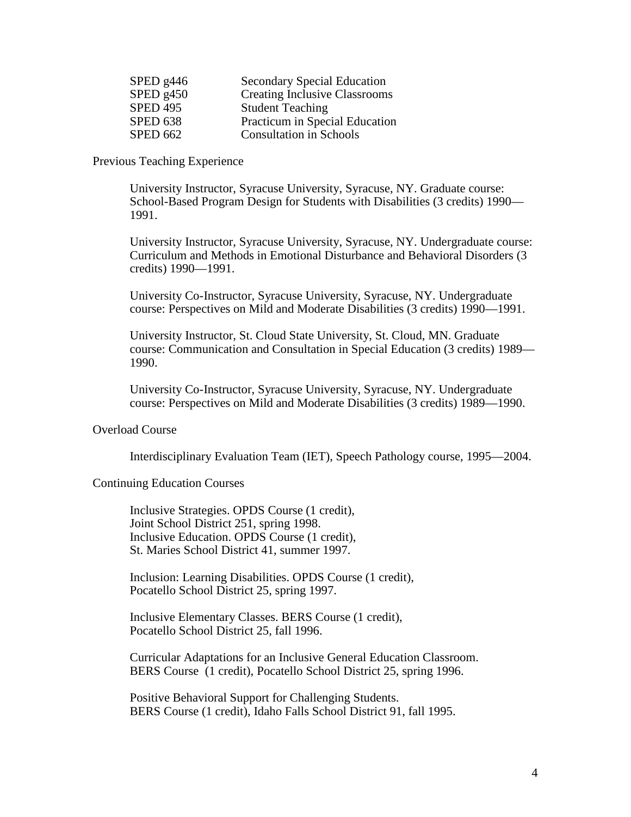| SPED $g446$     | <b>Secondary Special Education</b>   |
|-----------------|--------------------------------------|
| SPED g450       | <b>Creating Inclusive Classrooms</b> |
| <b>SPED 495</b> | <b>Student Teaching</b>              |
| <b>SPED 638</b> | Practicum in Special Education       |
| <b>SPED 662</b> | <b>Consultation in Schools</b>       |

### Previous Teaching Experience

University Instructor, Syracuse University, Syracuse, NY. Graduate course: School-Based Program Design for Students with Disabilities (3 credits) 1990— 1991.

University Instructor, Syracuse University, Syracuse, NY. Undergraduate course: Curriculum and Methods in Emotional Disturbance and Behavioral Disorders (3 credits) 1990—1991.

University Co-Instructor, Syracuse University, Syracuse, NY. Undergraduate course: Perspectives on Mild and Moderate Disabilities (3 credits) 1990—1991.

University Instructor, St. Cloud State University, St. Cloud, MN. Graduate course: Communication and Consultation in Special Education (3 credits) 1989— 1990.

University Co-Instructor, Syracuse University, Syracuse, NY. Undergraduate course: Perspectives on Mild and Moderate Disabilities (3 credits) 1989—1990.

### Overload Course

Interdisciplinary Evaluation Team (IET), Speech Pathology course, 1995—2004.

#### Continuing Education Courses

Inclusive Strategies. OPDS Course (1 credit), Joint School District 251, spring 1998. Inclusive Education. OPDS Course (1 credit), St. Maries School District 41, summer 1997.

Inclusion: Learning Disabilities. OPDS Course (1 credit), Pocatello School District 25, spring 1997.

Inclusive Elementary Classes. BERS Course (1 credit), Pocatello School District 25, fall 1996.

Curricular Adaptations for an Inclusive General Education Classroom. BERS Course (1 credit), Pocatello School District 25, spring 1996.

Positive Behavioral Support for Challenging Students. BERS Course (1 credit), Idaho Falls School District 91, fall 1995.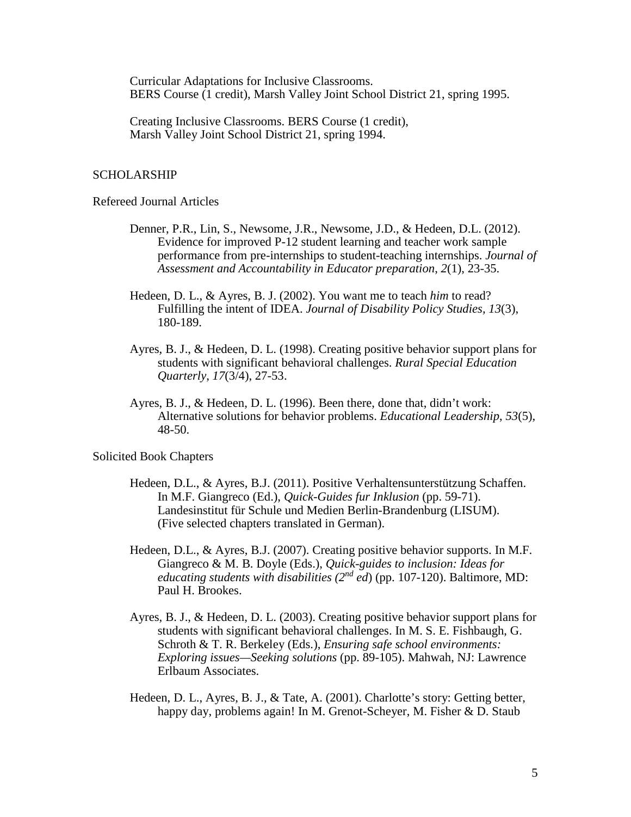Curricular Adaptations for Inclusive Classrooms. BERS Course (1 credit), Marsh Valley Joint School District 21, spring 1995.

Creating Inclusive Classrooms. BERS Course (1 credit), Marsh Valley Joint School District 21, spring 1994.

#### SCHOLARSHIP

Refereed Journal Articles

- Denner, P.R., Lin, S., Newsome, J.R., Newsome, J.D., & Hedeen, D.L. (2012). Evidence for improved P-12 student learning and teacher work sample performance from pre-internships to student-teaching internships. *Journal of Assessment and Accountability in Educator preparation*, *2*(1), 23-35.
- Hedeen, D. L., & Ayres, B. J. (2002). You want me to teach *him* to read? Fulfilling the intent of IDEA. *Journal of Disability Policy Studies, 13*(3), 180-189.
- Ayres, B. J., & Hedeen, D. L. (1998). Creating positive behavior support plans for students with significant behavioral challenges. *Rural Special Education Quarterly*, *17*(3/4), 27-53.
- Ayres, B. J., & Hedeen, D. L. (1996). Been there, done that, didn't work: Alternative solutions for behavior problems. *Educational Leadership*, *53*(5), 48-50.

Solicited Book Chapters

- Hedeen, D.L., & Ayres, B.J. (2011). Positive Verhaltensunterstützung Schaffen. In M.F. Giangreco (Ed.), *Quick-Guides fur Inklusion* (pp. 59-71). Landesinstitut für Schule und Medien Berlin-Brandenburg (LISUM). (Five selected chapters translated in German).
- Hedeen, D.L., & Ayres, B.J. (2007). Creating positive behavior supports. In M.F. Giangreco & M. B. Doyle (Eds.), *Quick-guides to inclusion: Ideas for educating students with disabilities (2nd ed*) (pp. 107-120). Baltimore, MD: Paul H. Brookes.
- Ayres, B. J., & Hedeen, D. L. (2003). Creating positive behavior support plans for students with significant behavioral challenges. In M. S. E. Fishbaugh, G. Schroth & T. R. Berkeley (Eds.), *Ensuring safe school environments: Exploring issues—Seeking solutions* (pp. 89-105). Mahwah, NJ: Lawrence Erlbaum Associates.
- Hedeen, D. L., Ayres, B. J., & Tate, A. (2001). Charlotte's story: Getting better, happy day, problems again! In M. Grenot-Scheyer, M. Fisher & D. Staub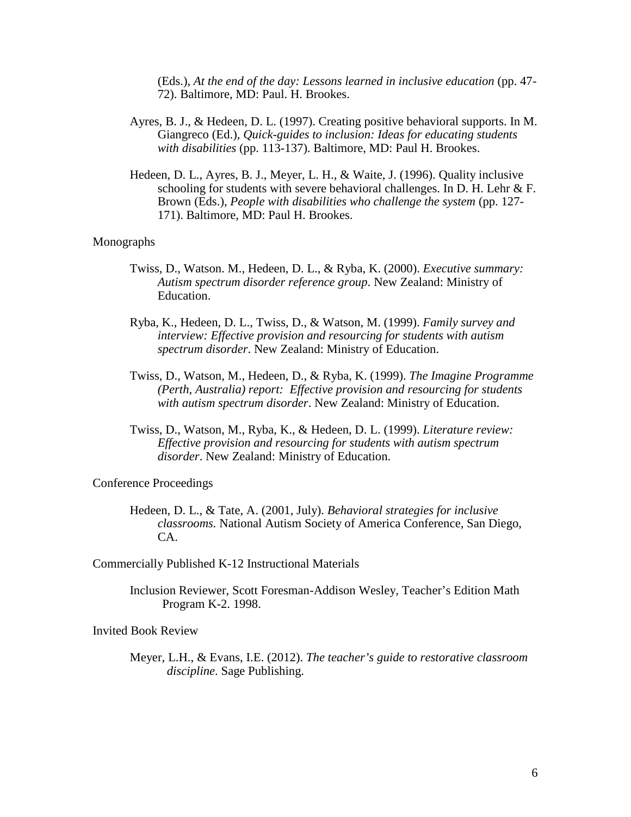(Eds.), *At the end of the day: Lessons learned in inclusive education* (pp. 47- 72). Baltimore, MD: Paul. H. Brookes.

- Ayres, B. J., & Hedeen, D. L. (1997). Creating positive behavioral supports. In M. Giangreco (Ed.), *Quick-guides to inclusion: Ideas for educating students with disabilities* (pp. 113-137). Baltimore, MD: Paul H. Brookes.
- Hedeen, D. L., Ayres, B. J., Meyer, L. H., & Waite, J. (1996). Quality inclusive schooling for students with severe behavioral challenges. In D. H. Lehr & F. Brown (Eds.), *People with disabilities who challenge the system* (pp. 127- 171). Baltimore, MD: Paul H. Brookes.

#### Monographs

- Twiss, D., Watson. M., Hedeen, D. L., & Ryba, K. (2000). *Executive summary: Autism spectrum disorder reference group*. New Zealand: Ministry of Education.
- Ryba, K., Hedeen, D. L., Twiss, D., & Watson, M. (1999). *Family survey and interview: Effective provision and resourcing for students with autism spectrum disorder*. New Zealand: Ministry of Education.
- Twiss, D., Watson, M., Hedeen, D., & Ryba, K. (1999). *The Imagine Programme (Perth, Australia) report: Effective provision and resourcing for students with autism spectrum disorder*. New Zealand: Ministry of Education.
- Twiss, D., Watson, M., Ryba, K., & Hedeen, D. L. (1999). *Literature review: Effective provision and resourcing for students with autism spectrum disorder*. New Zealand: Ministry of Education.

### Conference Proceedings

- Hedeen, D. L., & Tate, A. (2001, July). *Behavioral strategies for inclusive classrooms.* National Autism Society of America Conference, San Diego, CA.
- Commercially Published K-12 Instructional Materials
	- Inclusion Reviewer, Scott Foresman-Addison Wesley, Teacher's Edition Math Program K-2. 1998.

Invited Book Review

Meyer, L.H., & Evans, I.E. (2012). *The teacher's guide to restorative classroom discipline*. Sage Publishing.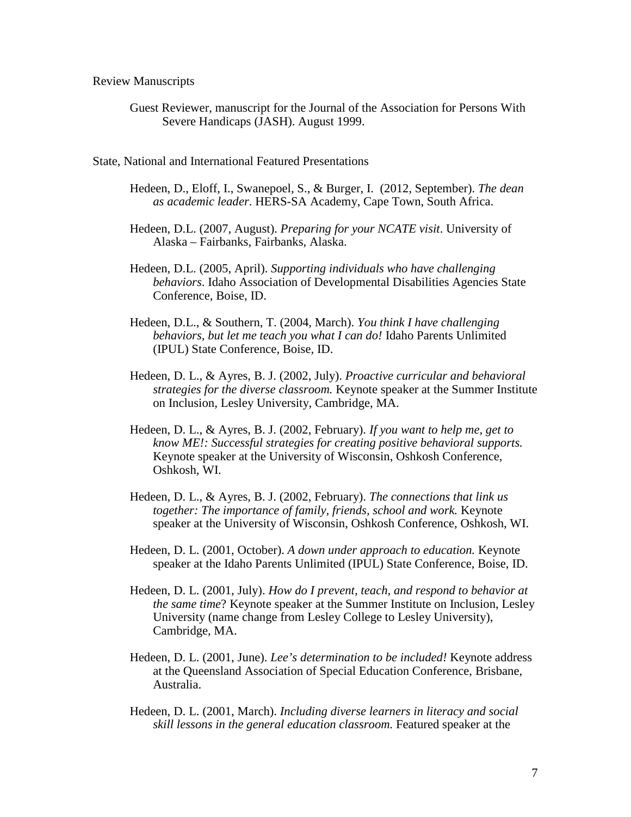Review Manuscripts

Guest Reviewer, manuscript for the Journal of the Association for Persons With Severe Handicaps (JASH). August 1999.

State, National and International Featured Presentations

- Hedeen, D., Eloff, I., Swanepoel, S., & Burger, I. (2012, September). *The dean as academic leader*. HERS-SA Academy, Cape Town, South Africa.
- Hedeen, D.L. (2007, August). *Preparing for your NCATE visit*. University of Alaska – Fairbanks, Fairbanks, Alaska.
- Hedeen, D.L. (2005, April). *Supporting individuals who have challenging behaviors*. Idaho Association of Developmental Disabilities Agencies State Conference, Boise, ID.
- Hedeen, D.L., & Southern, T. (2004, March). *You think I have challenging behaviors, but let me teach you what I can do!* Idaho Parents Unlimited (IPUL) State Conference, Boise, ID.
- Hedeen, D. L., & Ayres, B. J. (2002, July). *Proactive curricular and behavioral strategies for the diverse classroom.* Keynote speaker at the Summer Institute on Inclusion, Lesley University, Cambridge, MA.
- Hedeen, D. L., & Ayres, B. J. (2002, February). *If you want to help me, get to know ME!: Successful strategies for creating positive behavioral supports.*  Keynote speaker at the University of Wisconsin, Oshkosh Conference, Oshkosh, WI.
- Hedeen, D. L., & Ayres, B. J. (2002, February). *The connections that link us together: The importance of family, friends, school and work.* Keynote speaker at the University of Wisconsin, Oshkosh Conference, Oshkosh, WI.
- Hedeen, D. L. (2001, October). *A down under approach to education.* Keynote speaker at the Idaho Parents Unlimited (IPUL) State Conference, Boise, ID.
- Hedeen, D. L. (2001, July). *How do I prevent, teach, and respond to behavior at the same time*? Keynote speaker at the Summer Institute on Inclusion, Lesley University (name change from Lesley College to Lesley University), Cambridge, MA.
- Hedeen, D. L. (2001, June). *Lee's determination to be included!* Keynote address at the Queensland Association of Special Education Conference, Brisbane, Australia.
- Hedeen, D. L. (2001, March). *Including diverse learners in literacy and social skill lessons in the general education classroom.* Featured speaker at the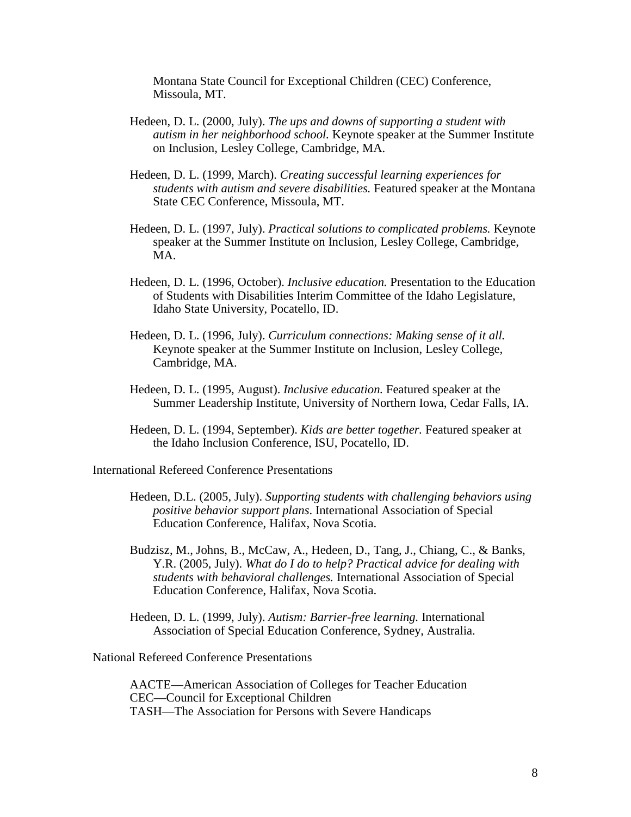Montana State Council for Exceptional Children (CEC) Conference, Missoula, MT.

- Hedeen, D. L. (2000, July). *The ups and downs of supporting a student with autism in her neighborhood school.* Keynote speaker at the Summer Institute on Inclusion, Lesley College, Cambridge, MA.
- Hedeen, D. L. (1999, March). *Creating successful learning experiences for students with autism and severe disabilities.* Featured speaker at the Montana State CEC Conference, Missoula, MT.
- Hedeen, D. L. (1997, July). *Practical solutions to complicated problems.* Keynote speaker at the Summer Institute on Inclusion, Lesley College, Cambridge, MA.
- Hedeen, D. L. (1996, October). *Inclusive education.* Presentation to the Education of Students with Disabilities Interim Committee of the Idaho Legislature, Idaho State University, Pocatello, ID.
- Hedeen, D. L. (1996, July). *Curriculum connections: Making sense of it all.*  Keynote speaker at the Summer Institute on Inclusion, Lesley College, Cambridge, MA.
- Hedeen, D. L. (1995, August). *Inclusive education.* Featured speaker at the Summer Leadership Institute, University of Northern Iowa, Cedar Falls, IA.
- Hedeen, D. L. (1994, September). *Kids are better together.* Featured speaker at the Idaho Inclusion Conference, ISU, Pocatello, ID.

International Refereed Conference Presentations

- Hedeen, D.L. (2005, July). *Supporting students with challenging behaviors using positive behavior support plans*. International Association of Special Education Conference, Halifax, Nova Scotia.
- Budzisz, M., Johns, B., McCaw, A., Hedeen, D., Tang, J., Chiang, C., & Banks, Y.R. (2005, July). *What do I do to help? Practical advice for dealing with students with behavioral challenges.* International Association of Special Education Conference, Halifax, Nova Scotia.
- Hedeen, D. L. (1999, July). *Autism: Barrier-free learning.* International Association of Special Education Conference, Sydney, Australia.

National Refereed Conference Presentations

AACTE—American Association of Colleges for Teacher Education CEC—Council for Exceptional Children TASH—The Association for Persons with Severe Handicaps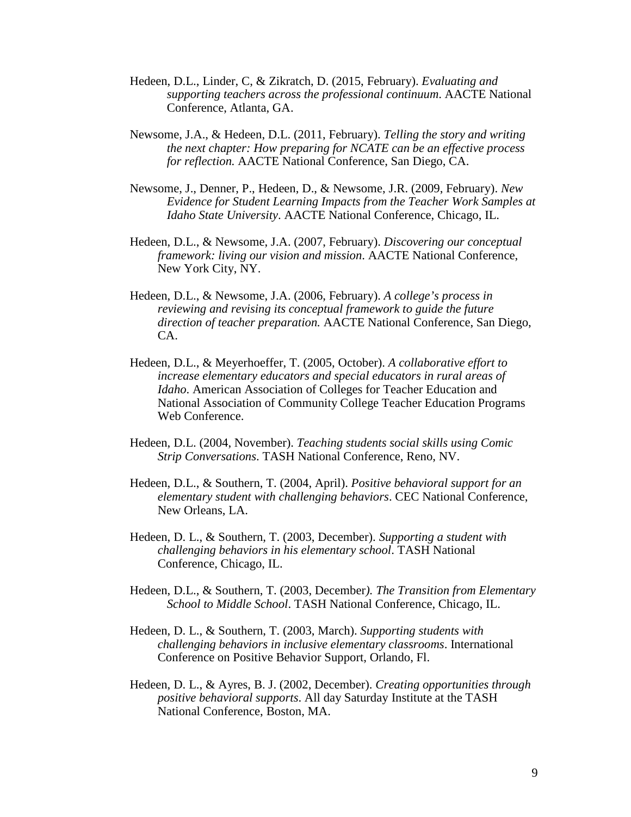- Hedeen, D.L., Linder, C, & Zikratch, D. (2015, February). *Evaluating and supporting teachers across the professional continuum*. AACTE National Conference, Atlanta, GA.
- Newsome, J.A., & Hedeen, D.L. (2011, February). *Telling the story and writing the next chapter: How preparing for NCATE can be an effective process for reflection.* AACTE National Conference, San Diego, CA.
- Newsome, J., Denner, P., Hedeen, D., & Newsome, J.R. (2009, February). *New Evidence for Student Learning Impacts from the Teacher Work Samples at Idaho State University*. AACTE National Conference, Chicago, IL.
- Hedeen, D.L., & Newsome, J.A. (2007, February). *Discovering our conceptual framework: living our vision and mission*. AACTE National Conference, New York City, NY.
- Hedeen, D.L., & Newsome, J.A. (2006, February). *A college's process in reviewing and revising its conceptual framework to guide the future direction of teacher preparation.* AACTE National Conference, San Diego, CA.
- Hedeen, D.L., & Meyerhoeffer, T. (2005, October). *A collaborative effort to increase elementary educators and special educators in rural areas of Idaho*. American Association of Colleges for Teacher Education and National Association of Community College Teacher Education Programs Web Conference.
- Hedeen, D.L. (2004, November). *Teaching students social skills using Comic Strip Conversations*. TASH National Conference, Reno, NV.
- Hedeen, D.L., & Southern, T. (2004, April). *Positive behavioral support for an elementary student with challenging behaviors*. CEC National Conference, New Orleans, LA.
- Hedeen, D. L., & Southern, T. (2003, December). *Supporting a student with challenging behaviors in his elementary school*. TASH National Conference, Chicago, IL.
- Hedeen, D.L., & Southern, T. (2003, December*). The Transition from Elementary School to Middle School*. TASH National Conference, Chicago, IL.
- Hedeen, D. L., & Southern, T. (2003, March). *Supporting students with challenging behaviors in inclusive elementary classrooms*. International Conference on Positive Behavior Support, Orlando, Fl.
- Hedeen, D. L., & Ayres, B. J. (2002, December). *Creating opportunities through positive behavioral supports*. All day Saturday Institute at the TASH National Conference, Boston, MA.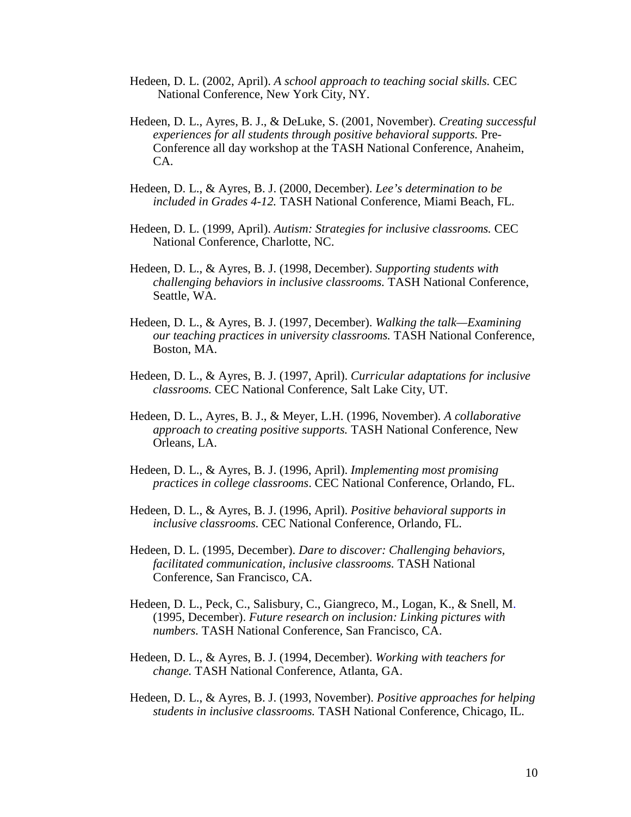- Hedeen, D. L. (2002, April). *A school approach to teaching social skills.* CEC National Conference, New York City, NY.
- Hedeen, D. L., Ayres, B. J., & DeLuke, S. (2001, November). *Creating successful experiences for all students through positive behavioral supports.* Pre-Conference all day workshop at the TASH National Conference, Anaheim, CA.
- Hedeen, D. L., & Ayres, B. J. (2000, December). *Lee's determination to be included in Grades 4-12.* TASH National Conference, Miami Beach, FL.
- Hedeen, D. L. (1999, April). *Autism: Strategies for inclusive classrooms.* CEC National Conference, Charlotte, NC.
- Hedeen, D. L., & Ayres, B. J. (1998, December). *Supporting students with challenging behaviors in inclusive classrooms.* TASH National Conference, Seattle, WA.
- Hedeen, D. L., & Ayres, B. J. (1997, December). *Walking the talk—Examining our teaching practices in university classrooms.* TASH National Conference, Boston, MA.
- Hedeen, D. L., & Ayres, B. J. (1997, April). *Curricular adaptations for inclusive classrooms.* CEC National Conference, Salt Lake City, UT.
- Hedeen, D. L., Ayres, B. J., & Meyer, L.H. (1996, November). *A collaborative approach to creating positive supports.* TASH National Conference, New Orleans, LA.
- Hedeen, D. L., & Ayres, B. J. (1996, April). *Implementing most promising practices in college classrooms*. CEC National Conference, Orlando, FL.
- Hedeen, D. L., & Ayres, B. J. (1996, April). *Positive behavioral supports in inclusive classrooms.* CEC National Conference, Orlando, FL.
- Hedeen, D. L. (1995, December). *Dare to discover: Challenging behaviors, facilitated communication, inclusive classrooms.* TASH National Conference, San Francisco, CA.
- Hedeen, D. L., Peck, C., Salisbury, C., Giangreco, M., Logan, K., & Snell, M. (1995, December). *Future research on inclusion: Linking pictures with numbers.* TASH National Conference, San Francisco, CA.
- Hedeen, D. L., & Ayres, B. J. (1994, December). *Working with teachers for change.* TASH National Conference, Atlanta, GA.
- Hedeen, D. L., & Ayres, B. J. (1993, November). *Positive approaches for helping students in inclusive classrooms.* TASH National Conference, Chicago, IL.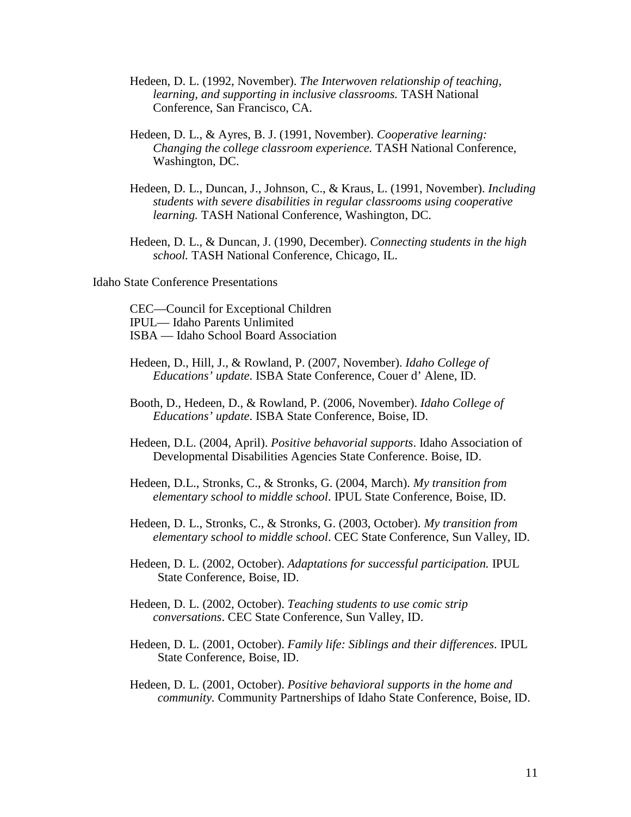- Hedeen, D. L. (1992, November). *The Interwoven relationship of teaching, learning, and supporting in inclusive classrooms.* TASH National Conference, San Francisco, CA.
- Hedeen, D. L., & Ayres, B. J. (1991, November). *Cooperative learning: Changing the college classroom experience.* TASH National Conference, Washington, DC.
- Hedeen, D. L., Duncan, J., Johnson, C., & Kraus, L. (1991, November). *Including students with severe disabilities in regular classrooms using cooperative learning.* TASH National Conference, Washington, DC.
- Hedeen, D. L., & Duncan, J. (1990, December). *Connecting students in the high school.* TASH National Conference, Chicago, IL.

Idaho State Conference Presentations

CEC—Council for Exceptional Children IPUL— Idaho Parents Unlimited ISBA — Idaho School Board Association

- Hedeen, D., Hill, J., & Rowland, P. (2007, November). *Idaho College of Educations' update*. ISBA State Conference, Couer d' Alene, ID.
- Booth, D., Hedeen, D., & Rowland, P. (2006, November). *Idaho College of Educations' update*. ISBA State Conference, Boise, ID.
- Hedeen, D.L. (2004, April). *Positive behavorial supports*. Idaho Association of Developmental Disabilities Agencies State Conference. Boise, ID.
- Hedeen, D.L., Stronks, C., & Stronks, G. (2004, March). *My transition from elementary school to middle school*. IPUL State Conference, Boise, ID.
- Hedeen, D. L., Stronks, C., & Stronks, G. (2003, October). *My transition from elementary school to middle school*. CEC State Conference, Sun Valley, ID.
- Hedeen, D. L. (2002, October). *Adaptations for successful participation.* IPUL State Conference, Boise, ID.
- Hedeen, D. L. (2002, October). *Teaching students to use comic strip conversations*. CEC State Conference, Sun Valley, ID.
- Hedeen, D. L. (2001, October). *Family life: Siblings and their differences*. IPUL State Conference, Boise, ID.
- Hedeen, D. L. (2001, October). *Positive behavioral supports in the home and community.* Community Partnerships of Idaho State Conference, Boise, ID.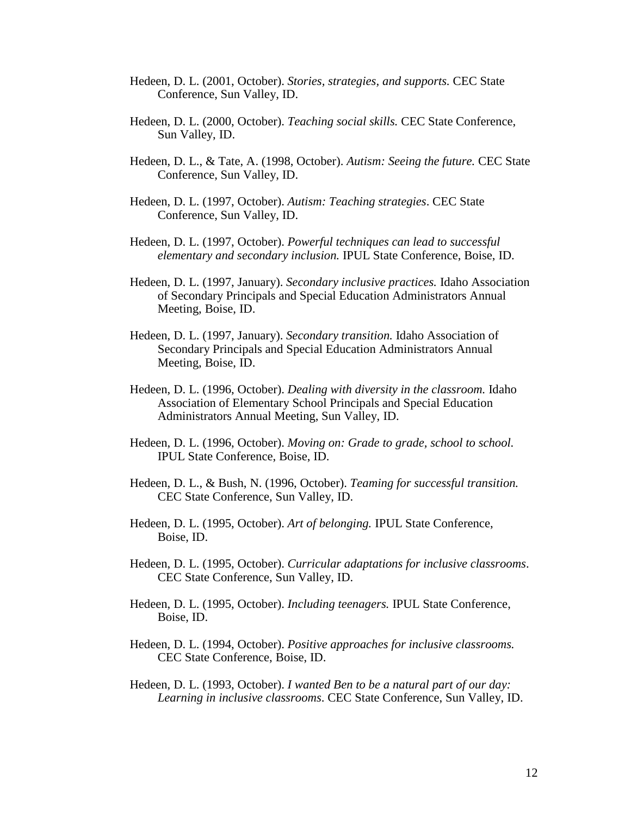- Hedeen, D. L. (2001, October). *Stories, strategies, and supports.* CEC State Conference, Sun Valley, ID.
- Hedeen, D. L. (2000, October). *Teaching social skills.* CEC State Conference, Sun Valley, ID.
- Hedeen, D. L., & Tate, A. (1998, October). *Autism: Seeing the future.* CEC State Conference, Sun Valley, ID.
- Hedeen, D. L. (1997, October). *Autism: Teaching strategies*. CEC State Conference, Sun Valley, ID.
- Hedeen, D. L. (1997, October). *Powerful techniques can lead to successful elementary and secondary inclusion.* IPUL State Conference, Boise, ID.
- Hedeen, D. L. (1997, January). *Secondary inclusive practices.* Idaho Association of Secondary Principals and Special Education Administrators Annual Meeting, Boise, ID.
- Hedeen, D. L. (1997, January). *Secondary transition.* Idaho Association of Secondary Principals and Special Education Administrators Annual Meeting, Boise, ID.
- Hedeen, D. L. (1996, October). *Dealing with diversity in the classroom.* Idaho Association of Elementary School Principals and Special Education Administrators Annual Meeting, Sun Valley, ID.
- Hedeen, D. L. (1996, October). *Moving on: Grade to grade, school to school.* IPUL State Conference, Boise, ID.
- Hedeen, D. L., & Bush, N. (1996, October). *Teaming for successful transition.* CEC State Conference, Sun Valley, ID.
- Hedeen, D. L. (1995, October). *Art of belonging.* IPUL State Conference, Boise, ID.
- Hedeen, D. L. (1995, October). *Curricular adaptations for inclusive classrooms*. CEC State Conference, Sun Valley, ID.
- Hedeen, D. L. (1995, October). *Including teenagers.* IPUL State Conference, Boise, ID.
- Hedeen, D. L. (1994, October). *Positive approaches for inclusive classrooms.* CEC State Conference, Boise, ID.
- Hedeen, D. L. (1993, October). *I wanted Ben to be a natural part of our day: Learning in inclusive classrooms*. CEC State Conference, Sun Valley, ID.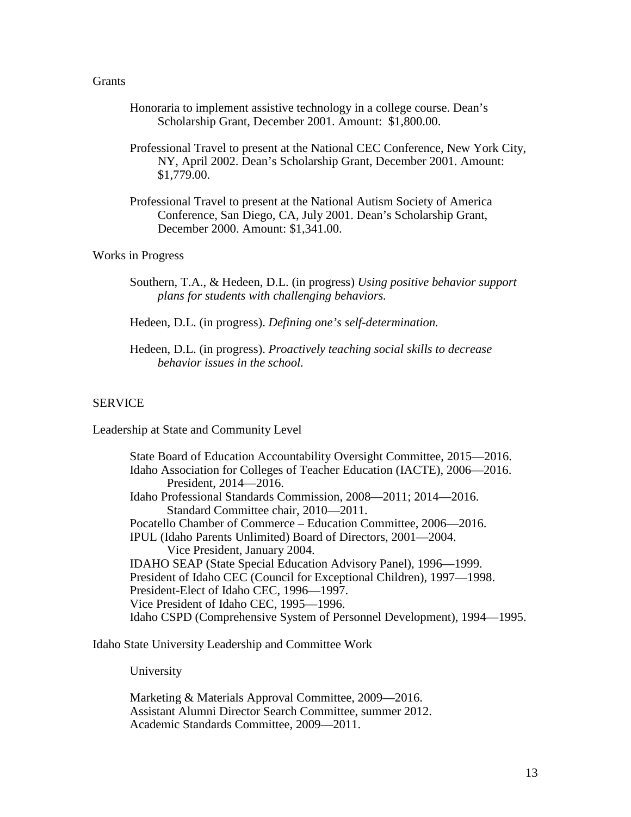#### **Grants**

- Honoraria to implement assistive technology in a college course. Dean's Scholarship Grant, December 2001. Amount: \$1,800.00.
- Professional Travel to present at the National CEC Conference, New York City, NY, April 2002. Dean's Scholarship Grant, December 2001. Amount: \$1,779.00.
- Professional Travel to present at the National Autism Society of America Conference, San Diego, CA, July 2001. Dean's Scholarship Grant, December 2000. Amount: \$1,341.00.

# Works in Progress

Southern, T.A., & Hedeen, D.L. (in progress) *Using positive behavior support plans for students with challenging behaviors.*

Hedeen, D.L. (in progress). *Defining one's self-determination.*

Hedeen, D.L. (in progress). *Proactively teaching social skills to decrease behavior issues in the school.*

#### SERVICE

Leadership at State and Community Level

State Board of Education Accountability Oversight Committee, 2015—2016. Idaho Association for Colleges of Teacher Education (IACTE), 2006—2016. President, 2014—2016. Idaho Professional Standards Commission, 2008—2011; 2014—2016. Standard Committee chair, 2010—2011. Pocatello Chamber of Commerce – Education Committee, 2006—2016. IPUL (Idaho Parents Unlimited) Board of Directors, 2001—2004. Vice President, January 2004. IDAHO SEAP (State Special Education Advisory Panel), 1996—1999. President of Idaho CEC (Council for Exceptional Children), 1997—1998. President-Elect of Idaho CEC, 1996—1997. Vice President of Idaho CEC, 1995—1996. Idaho CSPD (Comprehensive System of Personnel Development), 1994—1995.

Idaho State University Leadership and Committee Work

University

Marketing & Materials Approval Committee, 2009—2016. Assistant Alumni Director Search Committee, summer 2012. Academic Standards Committee, 2009—2011.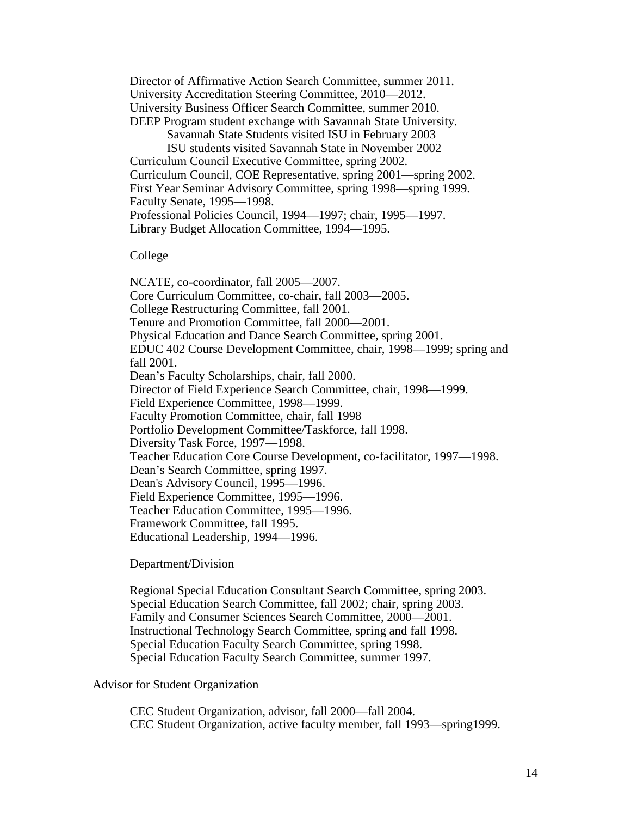Director of Affirmative Action Search Committee, summer 2011. University Accreditation Steering Committee, 2010—2012. University Business Officer Search Committee, summer 2010. DEEP Program student exchange with Savannah State University.

Savannah State Students visited ISU in February 2003

ISU students visited Savannah State in November 2002 Curriculum Council Executive Committee, spring 2002. Curriculum Council, COE Representative, spring 2001—spring 2002. First Year Seminar Advisory Committee, spring 1998—spring 1999. Faculty Senate, 1995—1998. Professional Policies Council, 1994—1997; chair, 1995—1997. Library Budget Allocation Committee, 1994—1995.

College

NCATE, co-coordinator, fall 2005—2007. Core Curriculum Committee, co-chair, fall 2003—2005. College Restructuring Committee, fall 2001. Tenure and Promotion Committee, fall 2000—2001. Physical Education and Dance Search Committee, spring 2001. EDUC 402 Course Development Committee, chair, 1998—1999; spring and fall 2001. Dean's Faculty Scholarships, chair, fall 2000. Director of Field Experience Search Committee, chair, 1998—1999. Field Experience Committee, 1998—1999. Faculty Promotion Committee, chair, fall 1998 Portfolio Development Committee/Taskforce, fall 1998. Diversity Task Force, 1997—1998. Teacher Education Core Course Development, co-facilitator, 1997—1998. Dean's Search Committee, spring 1997. Dean's Advisory Council, 1995—1996. Field Experience Committee, 1995—1996. Teacher Education Committee, 1995—1996. Framework Committee, fall 1995. Educational Leadership, 1994—1996.

Department/Division

Regional Special Education Consultant Search Committee, spring 2003. Special Education Search Committee, fall 2002; chair, spring 2003. Family and Consumer Sciences Search Committee, 2000—2001. Instructional Technology Search Committee, spring and fall 1998. Special Education Faculty Search Committee, spring 1998. Special Education Faculty Search Committee, summer 1997.

Advisor for Student Organization

CEC Student Organization, advisor, fall 2000—fall 2004. CEC Student Organization, active faculty member, fall 1993—spring1999.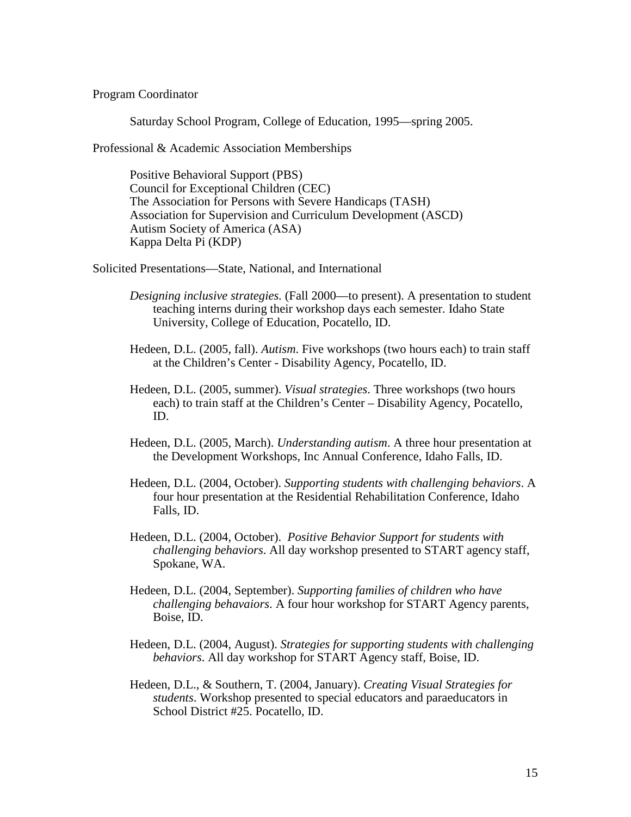Program Coordinator

Saturday School Program, College of Education, 1995—spring 2005.

Professional & Academic Association Memberships

Positive Behavioral Support (PBS) Council for Exceptional Children (CEC) The Association for Persons with Severe Handicaps (TASH) Association for Supervision and Curriculum Development (ASCD) Autism Society of America (ASA) Kappa Delta Pi (KDP)

Solicited Presentations—State, National, and International

- *Designing inclusive strategies.* (Fall 2000—to present). A presentation to student teaching interns during their workshop days each semester. Idaho State University, College of Education, Pocatello, ID.
- Hedeen, D.L. (2005, fall). *Autism*. Five workshops (two hours each) to train staff at the Children's Center - Disability Agency, Pocatello, ID.
- Hedeen, D.L. (2005, summer). *Visual strategies*. Three workshops (two hours each) to train staff at the Children's Center – Disability Agency, Pocatello, ID.
- Hedeen, D.L. (2005, March). *Understanding autism*. A three hour presentation at the Development Workshops, Inc Annual Conference, Idaho Falls, ID.
- Hedeen, D.L. (2004, October). *Supporting students with challenging behaviors*. A four hour presentation at the Residential Rehabilitation Conference, Idaho Falls, ID.
- Hedeen, D.L. (2004, October). *Positive Behavior Support for students with challenging behaviors*. All day workshop presented to START agency staff, Spokane, WA.
- Hedeen, D.L. (2004, September). *Supporting families of children who have challenging behavaiors*. A four hour workshop for START Agency parents, Boise, ID.
- Hedeen, D.L. (2004, August). *Strategies for supporting students with challenging behaviors*. All day workshop for START Agency staff, Boise, ID.
- Hedeen, D.L., & Southern, T. (2004, January). *Creating Visual Strategies for students*. Workshop presented to special educators and paraeducators in School District #25. Pocatello, ID.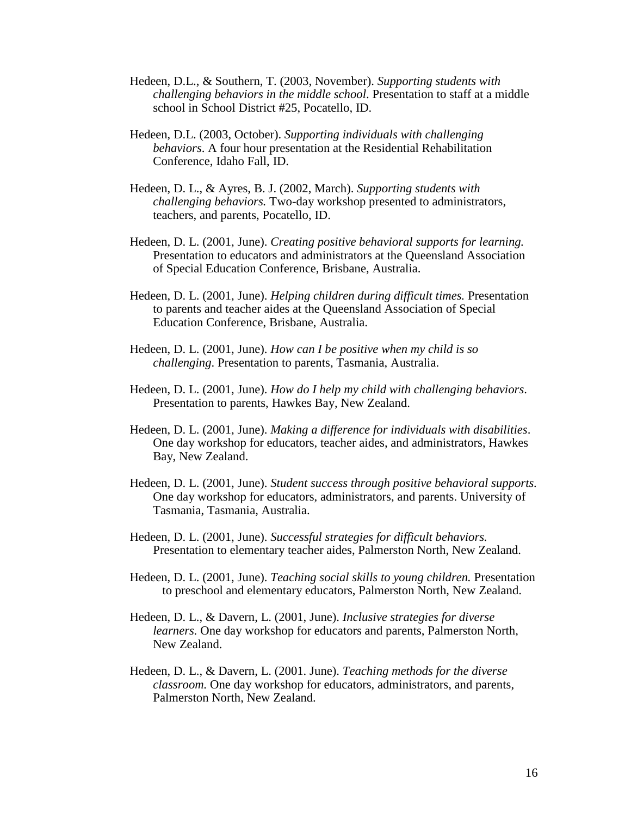- Hedeen, D.L., & Southern, T. (2003, November). *Supporting students with challenging behaviors in the middle school*. Presentation to staff at a middle school in School District #25, Pocatello, ID.
- Hedeen, D.L. (2003, October). *Supporting individuals with challenging behaviors*. A four hour presentation at the Residential Rehabilitation Conference, Idaho Fall, ID.
- Hedeen, D. L., & Ayres, B. J. (2002, March). *Supporting students with challenging behaviors.* Two-day workshop presented to administrators, teachers, and parents, Pocatello, ID.
- Hedeen, D. L. (2001, June). *Creating positive behavioral supports for learning.*  Presentation to educators and administrators at the Queensland Association of Special Education Conference, Brisbane, Australia.
- Hedeen, D. L. (2001, June). *Helping children during difficult times.* Presentation to parents and teacher aides at the Queensland Association of Special Education Conference, Brisbane, Australia.
- Hedeen, D. L. (2001, June). *How can I be positive when my child is so challenging*. Presentation to parents, Tasmania, Australia.
- Hedeen, D. L. (2001, June). *How do I help my child with challenging behaviors*. Presentation to parents, Hawkes Bay, New Zealand.
- Hedeen, D. L. (2001, June). *Making a difference for individuals with disabilities*. One day workshop for educators, teacher aides, and administrators, Hawkes Bay, New Zealand.
- Hedeen, D. L. (2001, June). *Student success through positive behavioral supports.* One day workshop for educators, administrators, and parents. University of Tasmania, Tasmania, Australia.
- Hedeen, D. L. (2001, June). *Successful strategies for difficult behaviors.* Presentation to elementary teacher aides, Palmerston North, New Zealand.
- Hedeen, D. L. (2001, June). *Teaching social skills to young children.* Presentation to preschool and elementary educators, Palmerston North, New Zealand.
- Hedeen, D. L., & Davern, L. (2001, June). *Inclusive strategies for diverse learners.* One day workshop for educators and parents, Palmerston North, New Zealand.
- Hedeen, D. L., & Davern, L. (2001. June). *Teaching methods for the diverse classroom.* One day workshop for educators, administrators, and parents, Palmerston North, New Zealand.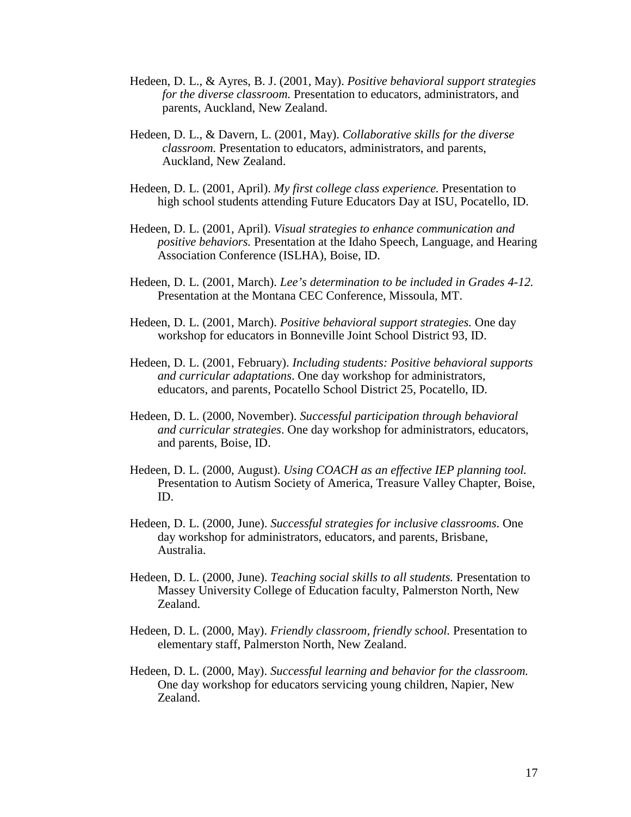- Hedeen, D. L., & Ayres, B. J. (2001, May). *Positive behavioral support strategies for the diverse classroom.* Presentation to educators, administrators, and parents, Auckland, New Zealand.
- Hedeen, D. L., & Davern, L. (2001, May). *Collaborative skills for the diverse classroom.* Presentation to educators, administrators, and parents, Auckland, New Zealand.
- Hedeen, D. L. (2001, April). *My first college class experience.* Presentation to high school students attending Future Educators Day at ISU, Pocatello, ID.
- Hedeen, D. L. (2001, April). *Visual strategies to enhance communication and positive behaviors.* Presentation at the Idaho Speech, Language, and Hearing Association Conference (ISLHA), Boise, ID.
- Hedeen, D. L. (2001, March). *Lee's determination to be included in Grades 4-12.* Presentation at the Montana CEC Conference, Missoula, MT.
- Hedeen, D. L. (2001, March). *Positive behavioral support strategies.* One day workshop for educators in Bonneville Joint School District 93, ID.
- Hedeen, D. L. (2001, February). *Including students: Positive behavioral supports and curricular adaptations*. One day workshop for administrators, educators, and parents, Pocatello School District 25, Pocatello, ID.
- Hedeen, D. L. (2000, November). *Successful participation through behavioral and curricular strategies*. One day workshop for administrators, educators, and parents, Boise, ID.
- Hedeen, D. L. (2000, August). *Using COACH as an effective IEP planning tool.* Presentation to Autism Society of America, Treasure Valley Chapter, Boise, ID.
- Hedeen, D. L. (2000, June). *Successful strategies for inclusive classrooms*. One day workshop for administrators, educators, and parents, Brisbane, Australia.
- Hedeen, D. L. (2000, June). *Teaching social skills to all students.* Presentation to Massey University College of Education faculty, Palmerston North, New Zealand.
- Hedeen, D. L. (2000, May). *Friendly classroom, friendly school.* Presentation to elementary staff, Palmerston North, New Zealand.
- Hedeen, D. L. (2000, May). *Successful learning and behavior for the classroom.* One day workshop for educators servicing young children, Napier, New Zealand.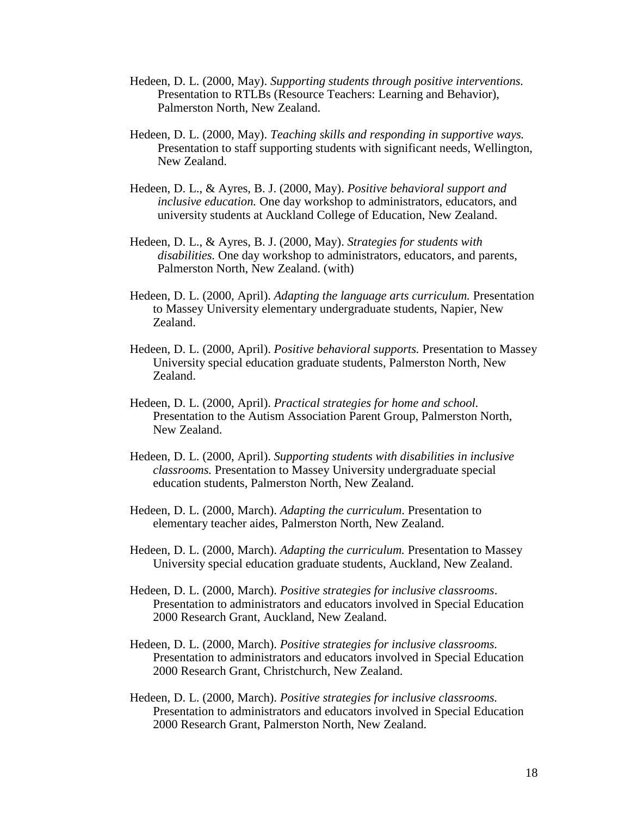- Hedeen, D. L. (2000, May). *Supporting students through positive interventions.* Presentation to RTLBs (Resource Teachers: Learning and Behavior), Palmerston North, New Zealand.
- Hedeen, D. L. (2000, May). *Teaching skills and responding in supportive ways.* Presentation to staff supporting students with significant needs, Wellington, New Zealand.
- Hedeen, D. L., & Ayres, B. J. (2000, May). *Positive behavioral support and inclusive education.* One day workshop to administrators, educators, and university students at Auckland College of Education, New Zealand.
- Hedeen, D. L., & Ayres, B. J. (2000, May). *Strategies for students with disabilities.* One day workshop to administrators, educators, and parents, Palmerston North, New Zealand. (with)
- Hedeen, D. L. (2000, April). *Adapting the language arts curriculum.* Presentation to Massey University elementary undergraduate students, Napier, New Zealand.
- Hedeen, D. L. (2000, April). *Positive behavioral supports.* Presentation to Massey University special education graduate students, Palmerston North, New Zealand.
- Hedeen, D. L. (2000, April). *Practical strategies for home and school.* Presentation to the Autism Association Parent Group, Palmerston North, New Zealand.
- Hedeen, D. L. (2000, April). *Supporting students with disabilities in inclusive classrooms.* Presentation to Massey University undergraduate special education students, Palmerston North, New Zealand.
- Hedeen, D. L. (2000, March). *Adapting the curriculum*. Presentation to elementary teacher aides, Palmerston North, New Zealand.
- Hedeen, D. L. (2000, March). *Adapting the curriculum.* Presentation to Massey University special education graduate students, Auckland, New Zealand.
- Hedeen, D. L. (2000, March). *Positive strategies for inclusive classrooms*. Presentation to administrators and educators involved in Special Education 2000 Research Grant, Auckland, New Zealand.
- Hedeen, D. L. (2000, March). *Positive strategies for inclusive classrooms.* Presentation to administrators and educators involved in Special Education 2000 Research Grant, Christchurch, New Zealand.
- Hedeen, D. L. (2000, March). *Positive strategies for inclusive classrooms.* Presentation to administrators and educators involved in Special Education 2000 Research Grant, Palmerston North, New Zealand.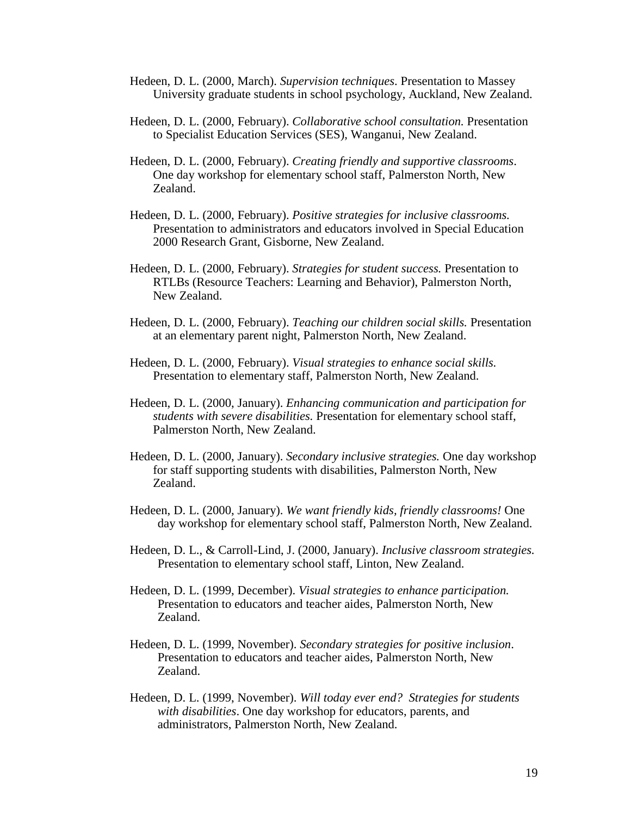- Hedeen, D. L. (2000, March). *Supervision techniques*. Presentation to Massey University graduate students in school psychology, Auckland, New Zealand.
- Hedeen, D. L. (2000, February). *Collaborative school consultation.* Presentation to Specialist Education Services (SES), Wanganui, New Zealand.
- Hedeen, D. L. (2000, February). *Creating friendly and supportive classrooms*. One day workshop for elementary school staff, Palmerston North, New Zealand.
- Hedeen, D. L. (2000, February). *Positive strategies for inclusive classrooms.* Presentation to administrators and educators involved in Special Education 2000 Research Grant, Gisborne, New Zealand.
- Hedeen, D. L. (2000, February). *Strategies for student success.* Presentation to RTLBs (Resource Teachers: Learning and Behavior), Palmerston North, New Zealand.
- Hedeen, D. L. (2000, February). *Teaching our children social skills.* Presentation at an elementary parent night, Palmerston North, New Zealand.
- Hedeen, D. L. (2000, February). *Visual strategies to enhance social skills.* Presentation to elementary staff, Palmerston North, New Zealand.
- Hedeen, D. L. (2000, January). *Enhancing communication and participation for students with severe disabilities.* Presentation for elementary school staff, Palmerston North, New Zealand.
- Hedeen, D. L. (2000, January). *Secondary inclusive strategies.* One day workshop for staff supporting students with disabilities, Palmerston North, New Zealand.
- Hedeen, D. L. (2000, January). *We want friendly kids, friendly classrooms!* One day workshop for elementary school staff, Palmerston North, New Zealand.
- Hedeen, D. L., & Carroll-Lind, J. (2000, January). *Inclusive classroom strategies.* Presentation to elementary school staff, Linton, New Zealand.
- Hedeen, D. L. (1999, December). *Visual strategies to enhance participation.* Presentation to educators and teacher aides, Palmerston North, New Zealand.
- Hedeen, D. L. (1999, November). *Secondary strategies for positive inclusion*. Presentation to educators and teacher aides, Palmerston North, New Zealand.
- Hedeen, D. L. (1999, November). *Will today ever end? Strategies for students with disabilities*. One day workshop for educators, parents, and administrators, Palmerston North, New Zealand.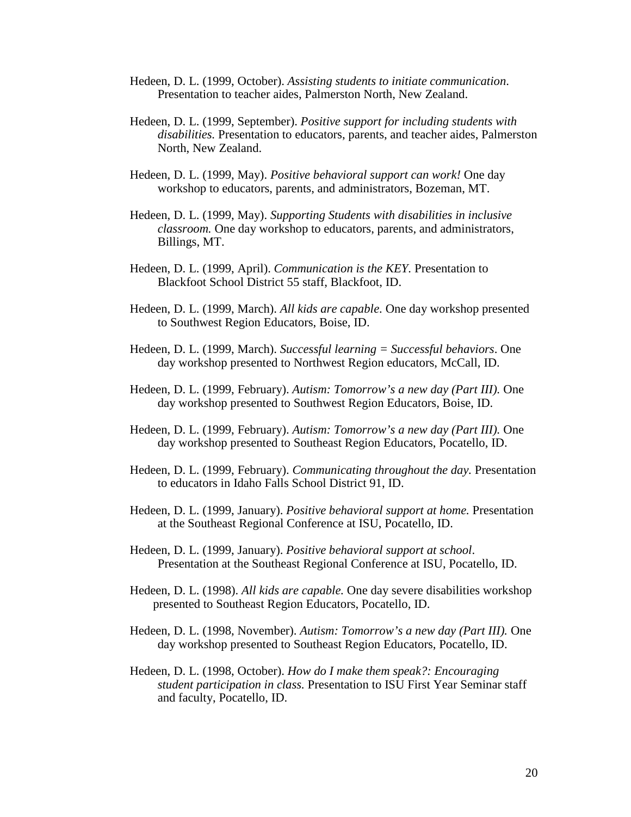- Hedeen, D. L. (1999, October). *Assisting students to initiate communication*. Presentation to teacher aides, Palmerston North, New Zealand.
- Hedeen, D. L. (1999, September). *Positive support for including students with disabilities.* Presentation to educators, parents, and teacher aides, Palmerston North, New Zealand.
- Hedeen, D. L. (1999, May). *Positive behavioral support can work!* One day workshop to educators, parents, and administrators, Bozeman, MT.
- Hedeen, D. L. (1999, May). *Supporting Students with disabilities in inclusive classroom.* One day workshop to educators, parents, and administrators, Billings, MT.
- Hedeen, D. L. (1999, April). *Communication is the KEY.* Presentation to Blackfoot School District 55 staff, Blackfoot, ID.
- Hedeen, D. L. (1999, March). *All kids are capable.* One day workshop presented to Southwest Region Educators, Boise, ID.
- Hedeen, D. L. (1999, March). *Successful learning = Successful behaviors*. One day workshop presented to Northwest Region educators, McCall, ID.
- Hedeen, D. L. (1999, February). *Autism: Tomorrow's a new day (Part III).* One day workshop presented to Southwest Region Educators, Boise, ID.
- Hedeen, D. L. (1999, February). *Autism: Tomorrow's a new day (Part III).* One day workshop presented to Southeast Region Educators, Pocatello, ID.
- Hedeen, D. L. (1999, February). *Communicating throughout the day.* Presentation to educators in Idaho Falls School District 91, ID.
- Hedeen, D. L. (1999, January). *Positive behavioral support at home.* Presentation at the Southeast Regional Conference at ISU, Pocatello, ID.
- Hedeen, D. L. (1999, January). *Positive behavioral support at school*. Presentation at the Southeast Regional Conference at ISU, Pocatello, ID.
- Hedeen, D. L. (1998). *All kids are capable.* One day severe disabilities workshop presented to Southeast Region Educators, Pocatello, ID.
- Hedeen, D. L. (1998, November). *Autism: Tomorrow's a new day (Part III).* One day workshop presented to Southeast Region Educators, Pocatello, ID.
- Hedeen, D. L. (1998, October). *How do I make them speak?: Encouraging student participation in class.* Presentation to ISU First Year Seminar staff and faculty, Pocatello, ID.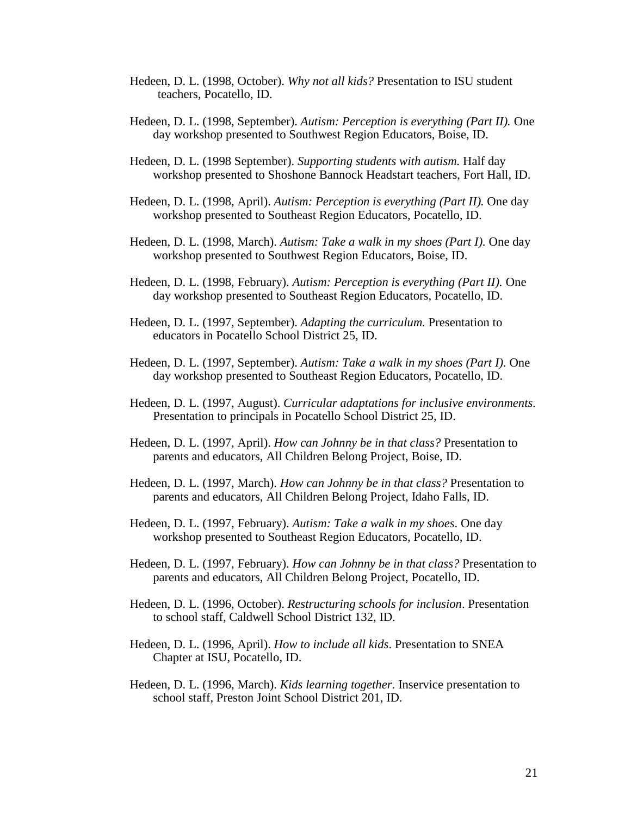- Hedeen, D. L. (1998, October). *Why not all kids?* Presentation to ISU student teachers, Pocatello, ID.
- Hedeen, D. L. (1998, September). *Autism: Perception is everything (Part II).* One day workshop presented to Southwest Region Educators, Boise, ID.
- Hedeen, D. L. (1998 September). *Supporting students with autism.* Half day workshop presented to Shoshone Bannock Headstart teachers, Fort Hall, ID.
- Hedeen, D. L. (1998, April). *Autism: Perception is everything (Part II).* One day workshop presented to Southeast Region Educators, Pocatello, ID.
- Hedeen, D. L. (1998, March). *Autism: Take a walk in my shoes (Part I).* One day workshop presented to Southwest Region Educators, Boise, ID.
- Hedeen, D. L. (1998, February). *Autism: Perception is everything (Part II).* One day workshop presented to Southeast Region Educators, Pocatello, ID.
- Hedeen, D. L. (1997, September). *Adapting the curriculum.* Presentation to educators in Pocatello School District 25, ID.
- Hedeen, D. L. (1997, September). *Autism: Take a walk in my shoes (Part I).* One day workshop presented to Southeast Region Educators, Pocatello, ID.
- Hedeen, D. L. (1997, August). *Curricular adaptations for inclusive environments.* Presentation to principals in Pocatello School District 25, ID.
- Hedeen, D. L. (1997, April). *How can Johnny be in that class?* Presentation to parents and educators, All Children Belong Project, Boise, ID.
- Hedeen, D. L. (1997, March). *How can Johnny be in that class?* Presentation to parents and educators, All Children Belong Project, Idaho Falls, ID.
- Hedeen, D. L. (1997, February). *Autism: Take a walk in my shoes*. One day workshop presented to Southeast Region Educators, Pocatello, ID.
- Hedeen, D. L. (1997, February). *How can Johnny be in that class?* Presentation to parents and educators, All Children Belong Project, Pocatello, ID.
- Hedeen, D. L. (1996, October). *Restructuring schools for inclusion*. Presentation to school staff, Caldwell School District 132, ID.
- Hedeen, D. L. (1996, April). *How to include all kids*. Presentation to SNEA Chapter at ISU, Pocatello, ID.
- Hedeen, D. L. (1996, March). *Kids learning together*. Inservice presentation to school staff, Preston Joint School District 201, ID.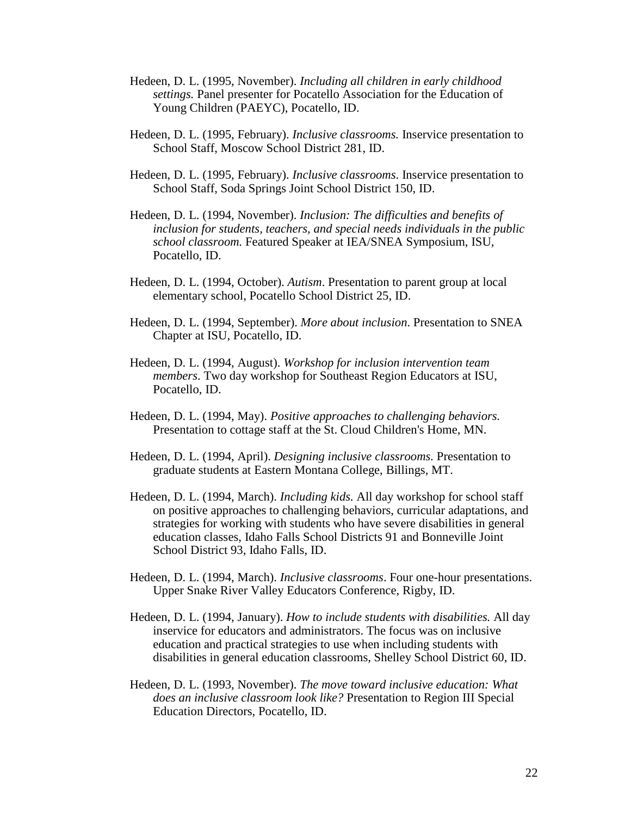- Hedeen, D. L. (1995, November). *Including all children in early childhood settings.* Panel presenter for Pocatello Association for the Education of Young Children (PAEYC), Pocatello, ID.
- Hedeen, D. L. (1995, February). *Inclusive classrooms.* Inservice presentation to School Staff, Moscow School District 281, ID.
- Hedeen, D. L. (1995, February). *Inclusive classrooms*. Inservice presentation to School Staff, Soda Springs Joint School District 150, ID.
- Hedeen, D. L. (1994, November). *Inclusion: The difficulties and benefits of inclusion for students, teachers, and special needs individuals in the public school classroom.* Featured Speaker at IEA/SNEA Symposium, ISU, Pocatello, ID.
- Hedeen, D. L. (1994, October). *Autism*. Presentation to parent group at local elementary school, Pocatello School District 25, ID.
- Hedeen, D. L. (1994, September). *More about inclusion*. Presentation to SNEA Chapter at ISU, Pocatello, ID.
- Hedeen, D. L. (1994, August). *Workshop for inclusion intervention team members*. Two day workshop for Southeast Region Educators at ISU, Pocatello, ID.
- Hedeen, D. L. (1994, May). *Positive approaches to challenging behaviors.* Presentation to cottage staff at the St. Cloud Children's Home, MN.
- Hedeen, D. L. (1994, April). *Designing inclusive classrooms.* Presentation to graduate students at Eastern Montana College, Billings, MT.
- Hedeen, D. L. (1994, March). *Including kids.* All day workshop for school staff on positive approaches to challenging behaviors, curricular adaptations, and strategies for working with students who have severe disabilities in general education classes, Idaho Falls School Districts 91 and Bonneville Joint School District 93, Idaho Falls, ID.
- Hedeen, D. L. (1994, March). *Inclusive classrooms*. Four one-hour presentations. Upper Snake River Valley Educators Conference, Rigby, ID.
- Hedeen, D. L. (1994, January). *How to include students with disabilities.* All day inservice for educators and administrators. The focus was on inclusive education and practical strategies to use when including students with disabilities in general education classrooms, Shelley School District 60, ID.
- Hedeen, D. L. (1993, November). *The move toward inclusive education: What does an inclusive classroom look like?* Presentation to Region III Special Education Directors, Pocatello, ID.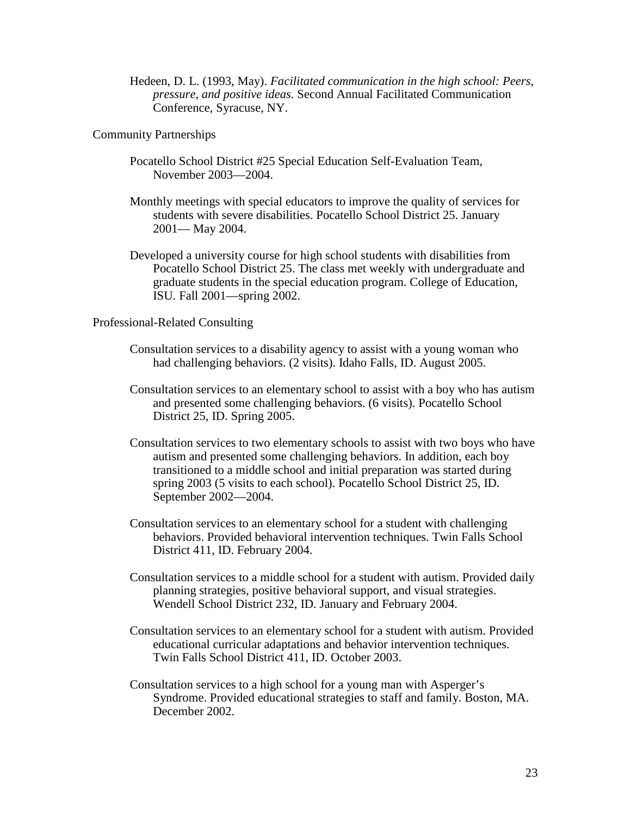Hedeen, D. L. (1993, May). *Facilitated communication in the high school: Peers, pressure, and positive ideas.* Second Annual Facilitated Communication Conference, Syracuse, NY.

Community Partnerships

- Pocatello School District #25 Special Education Self-Evaluation Team, November 2003—2004.
- Monthly meetings with special educators to improve the quality of services for students with severe disabilities. Pocatello School District 25. January 2001— May 2004.
- Developed a university course for high school students with disabilities from Pocatello School District 25. The class met weekly with undergraduate and graduate students in the special education program. College of Education, ISU. Fall 2001—spring 2002.

### Professional-Related Consulting

- Consultation services to a disability agency to assist with a young woman who had challenging behaviors. (2 visits). Idaho Falls, ID. August 2005.
- Consultation services to an elementary school to assist with a boy who has autism and presented some challenging behaviors. (6 visits). Pocatello School District 25, ID. Spring 2005.
- Consultation services to two elementary schools to assist with two boys who have autism and presented some challenging behaviors. In addition, each boy transitioned to a middle school and initial preparation was started during spring 2003 (5 visits to each school). Pocatello School District 25, ID. September 2002—2004.
- Consultation services to an elementary school for a student with challenging behaviors. Provided behavioral intervention techniques. Twin Falls School District 411, ID. February 2004.
- Consultation services to a middle school for a student with autism. Provided daily planning strategies, positive behavioral support, and visual strategies. Wendell School District 232, ID. January and February 2004.
- Consultation services to an elementary school for a student with autism. Provided educational curricular adaptations and behavior intervention techniques. Twin Falls School District 411, ID. October 2003.
- Consultation services to a high school for a young man with Asperger's Syndrome. Provided educational strategies to staff and family. Boston, MA. December 2002.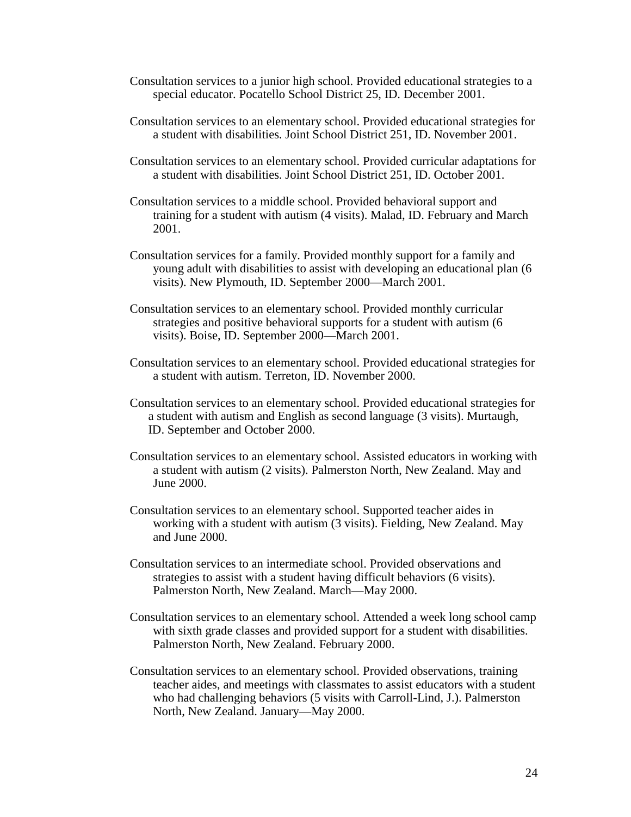- Consultation services to a junior high school. Provided educational strategies to a special educator. Pocatello School District 25, ID. December 2001.
- Consultation services to an elementary school. Provided educational strategies for a student with disabilities. Joint School District 251, ID. November 2001.
- Consultation services to an elementary school. Provided curricular adaptations for a student with disabilities. Joint School District 251, ID. October 2001.
- Consultation services to a middle school. Provided behavioral support and training for a student with autism (4 visits). Malad, ID. February and March 2001.
- Consultation services for a family. Provided monthly support for a family and young adult with disabilities to assist with developing an educational plan (6 visits). New Plymouth, ID. September 2000—March 2001.
- Consultation services to an elementary school. Provided monthly curricular strategies and positive behavioral supports for a student with autism (6 visits). Boise, ID. September 2000—March 2001.
- Consultation services to an elementary school. Provided educational strategies for a student with autism. Terreton, ID. November 2000.
- Consultation services to an elementary school. Provided educational strategies for a student with autism and English as second language (3 visits). Murtaugh, ID. September and October 2000.
- Consultation services to an elementary school. Assisted educators in working with a student with autism (2 visits). Palmerston North, New Zealand. May and June 2000.
- Consultation services to an elementary school. Supported teacher aides in working with a student with autism (3 visits). Fielding, New Zealand. May and June 2000.
- Consultation services to an intermediate school. Provided observations and strategies to assist with a student having difficult behaviors (6 visits). Palmerston North, New Zealand. March—May 2000.
- Consultation services to an elementary school. Attended a week long school camp with sixth grade classes and provided support for a student with disabilities. Palmerston North, New Zealand. February 2000.
- Consultation services to an elementary school. Provided observations, training teacher aides, and meetings with classmates to assist educators with a student who had challenging behaviors (5 visits with Carroll-Lind, J.). Palmerston North, New Zealand. January—May 2000.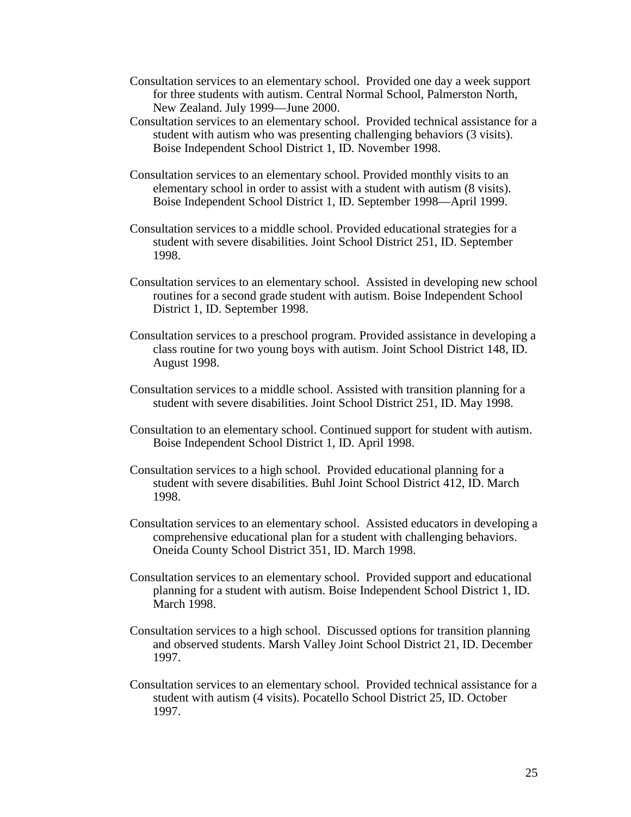- Consultation services to an elementary school. Provided one day a week support for three students with autism. Central Normal School, Palmerston North, New Zealand. July 1999—June 2000.
- Consultation services to an elementary school. Provided technical assistance for a student with autism who was presenting challenging behaviors (3 visits). Boise Independent School District 1, ID. November 1998.
- Consultation services to an elementary school. Provided monthly visits to an elementary school in order to assist with a student with autism (8 visits). Boise Independent School District 1, ID. September 1998—April 1999.
- Consultation services to a middle school. Provided educational strategies for a student with severe disabilities. Joint School District 251, ID. September 1998.
- Consultation services to an elementary school. Assisted in developing new school routines for a second grade student with autism. Boise Independent School District 1, ID. September 1998.
- Consultation services to a preschool program. Provided assistance in developing a class routine for two young boys with autism. Joint School District 148, ID. August 1998.
- Consultation services to a middle school. Assisted with transition planning for a student with severe disabilities. Joint School District 251, ID. May 1998.
- Consultation to an elementary school. Continued support for student with autism. Boise Independent School District 1, ID. April 1998.
- Consultation services to a high school. Provided educational planning for a student with severe disabilities. Buhl Joint School District 412, ID. March 1998.
- Consultation services to an elementary school. Assisted educators in developing a comprehensive educational plan for a student with challenging behaviors. Oneida County School District 351, ID. March 1998.
- Consultation services to an elementary school. Provided support and educational planning for a student with autism. Boise Independent School District 1, ID. March 1998.
- Consultation services to a high school. Discussed options for transition planning and observed students. Marsh Valley Joint School District 21, ID. December 1997.
- Consultation services to an elementary school. Provided technical assistance for a student with autism (4 visits). Pocatello School District 25, ID. October 1997.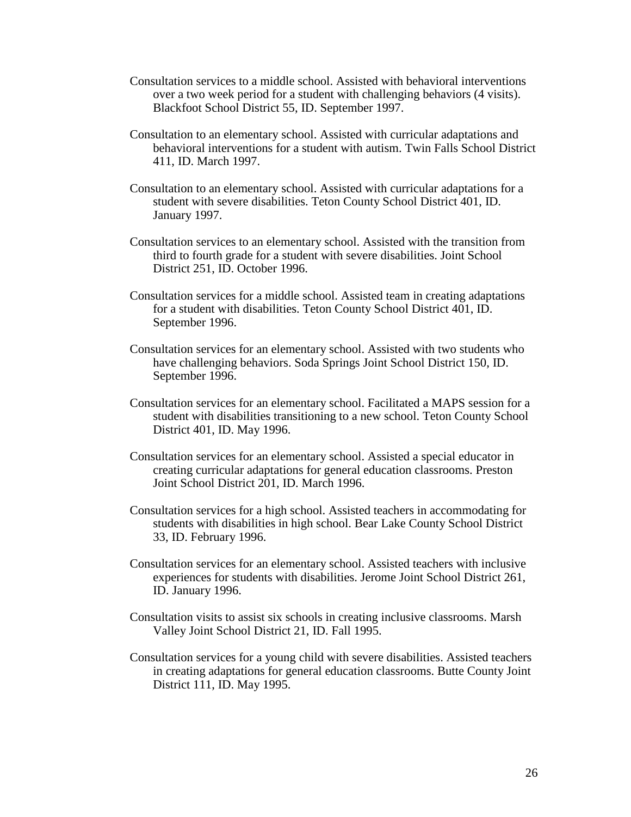- Consultation services to a middle school. Assisted with behavioral interventions over a two week period for a student with challenging behaviors (4 visits). Blackfoot School District 55, ID. September 1997.
- Consultation to an elementary school. Assisted with curricular adaptations and behavioral interventions for a student with autism. Twin Falls School District 411, ID. March 1997.
- Consultation to an elementary school. Assisted with curricular adaptations for a student with severe disabilities. Teton County School District 401, ID. January 1997.
- Consultation services to an elementary school. Assisted with the transition from third to fourth grade for a student with severe disabilities. Joint School District 251, ID. October 1996.
- Consultation services for a middle school. Assisted team in creating adaptations for a student with disabilities. Teton County School District 401, ID. September 1996.
- Consultation services for an elementary school. Assisted with two students who have challenging behaviors. Soda Springs Joint School District 150, ID. September 1996.
- Consultation services for an elementary school. Facilitated a MAPS session for a student with disabilities transitioning to a new school. Teton County School District 401, ID. May 1996.
- Consultation services for an elementary school. Assisted a special educator in creating curricular adaptations for general education classrooms. Preston Joint School District 201, ID. March 1996.
- Consultation services for a high school. Assisted teachers in accommodating for students with disabilities in high school. Bear Lake County School District 33, ID. February 1996.
- Consultation services for an elementary school. Assisted teachers with inclusive experiences for students with disabilities. Jerome Joint School District 261, ID. January 1996.
- Consultation visits to assist six schools in creating inclusive classrooms. Marsh Valley Joint School District 21, ID. Fall 1995.
- Consultation services for a young child with severe disabilities. Assisted teachers in creating adaptations for general education classrooms. Butte County Joint District 111, ID. May 1995.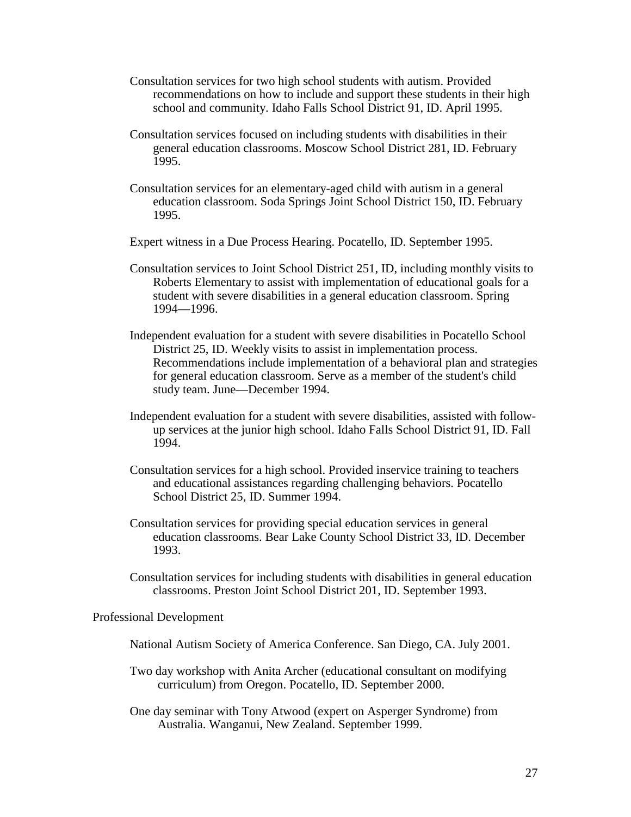- Consultation services for two high school students with autism. Provided recommendations on how to include and support these students in their high school and community. Idaho Falls School District 91, ID. April 1995.
- Consultation services focused on including students with disabilities in their general education classrooms. Moscow School District 281, ID. February 1995.
- Consultation services for an elementary-aged child with autism in a general education classroom. Soda Springs Joint School District 150, ID. February 1995.
- Expert witness in a Due Process Hearing. Pocatello, ID. September 1995.
- Consultation services to Joint School District 251, ID, including monthly visits to Roberts Elementary to assist with implementation of educational goals for a student with severe disabilities in a general education classroom. Spring 1994—1996.
- Independent evaluation for a student with severe disabilities in Pocatello School District 25, ID. Weekly visits to assist in implementation process. Recommendations include implementation of a behavioral plan and strategies for general education classroom. Serve as a member of the student's child study team. June—December 1994.
- Independent evaluation for a student with severe disabilities, assisted with followup services at the junior high school. Idaho Falls School District 91, ID. Fall 1994.
- Consultation services for a high school. Provided inservice training to teachers and educational assistances regarding challenging behaviors. Pocatello School District 25, ID. Summer 1994.
- Consultation services for providing special education services in general education classrooms. Bear Lake County School District 33, ID. December 1993.
- Consultation services for including students with disabilities in general education classrooms. Preston Joint School District 201, ID. September 1993.

# Professional Development

- National Autism Society of America Conference. San Diego, CA. July 2001.
- Two day workshop with Anita Archer (educational consultant on modifying curriculum) from Oregon. Pocatello, ID. September 2000.
- One day seminar with Tony Atwood (expert on Asperger Syndrome) from Australia. Wanganui, New Zealand. September 1999.